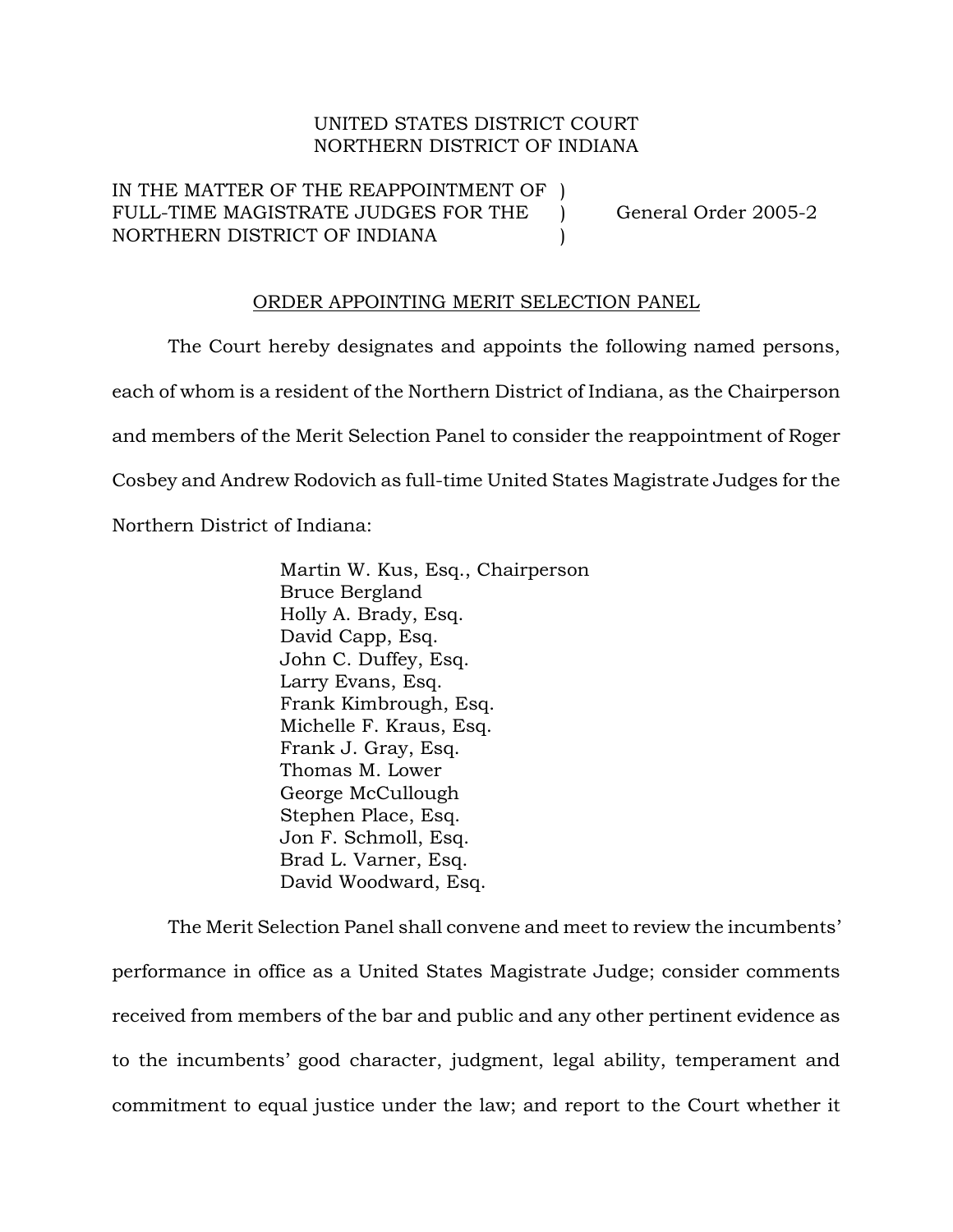## UNITED STATES DISTRICT COURT NORTHERN DISTRICT OF INDIANA

IN THE MATTER OF THE REAPPOINTMENT OF FULL-TIME MAGISTRATE JUDGES FOR THE ) General Order 2005-2 NORTHERN DISTRICT OF INDIANA )

## ORDER APPOINTING MERIT SELECTION PANEL

The Court hereby designates and appoints the following named persons, each of whom is a resident of the Northern District of Indiana, as the Chairperson and members of the Merit Selection Panel to consider the reappointment of Roger Cosbey and Andrew Rodovich as full-time United States Magistrate Judges for the Northern District of Indiana:

> Martin W. Kus, Esq., Chairperson Bruce Bergland Holly A. Brady, Esq. David Capp, Esq. John C. Duffey, Esq. Larry Evans, Esq. Frank Kimbrough, Esq. Michelle F. Kraus, Esq. Frank J. Gray, Esq. Thomas M. Lower George McCullough Stephen Place, Esq. Jon F. Schmoll, Esq. Brad L. Varner, Esq. David Woodward, Esq.

The Merit Selection Panel shall convene and meet to review the incumbents' performance in office as a United States Magistrate Judge; consider comments received from members of the bar and public and any other pertinent evidence as to the incumbents' good character, judgment, legal ability, temperament and commitment to equal justice under the law; and report to the Court whether it